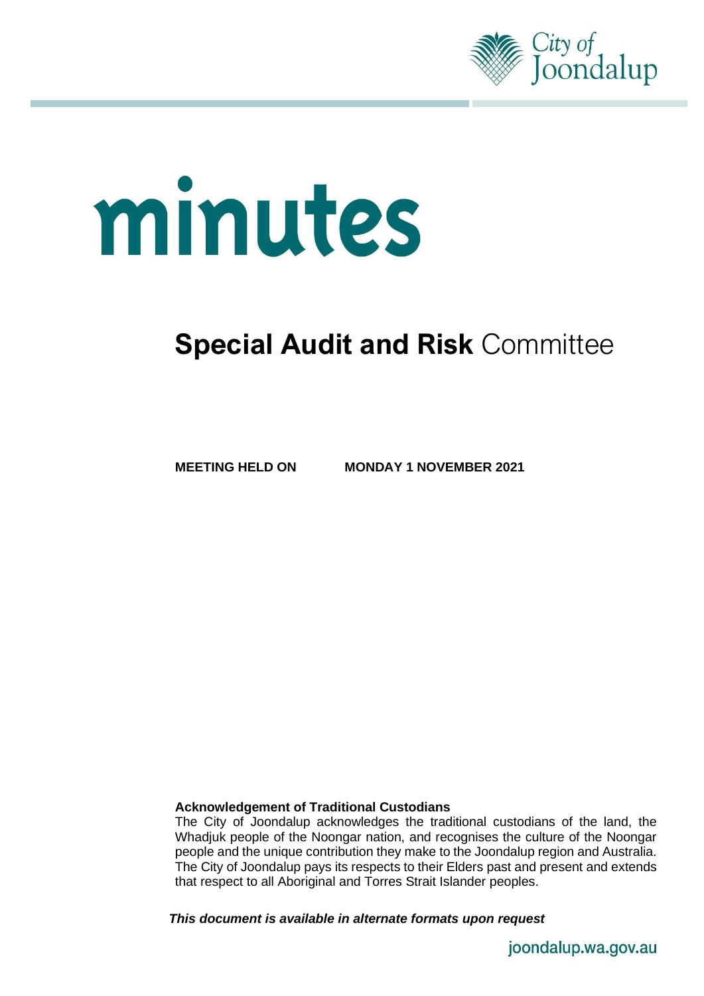

# minutes

# **Special Audit and Risk** Committee

**MEETING HELD ON MONDAY 1 NOVEMBER 2021**

# **Acknowledgement of Traditional Custodians**

The City of Joondalup acknowledges the traditional custodians of the land, the Whadjuk people of the Noongar nation, and recognises the culture of the Noongar people and the unique contribution they make to the Joondalup region and Australia. The City of Joondalup pays its respects to their Elders past and present and extends that respect to all Aboriginal and Torres Strait Islander peoples.

*This document is available in alternate formats upon request*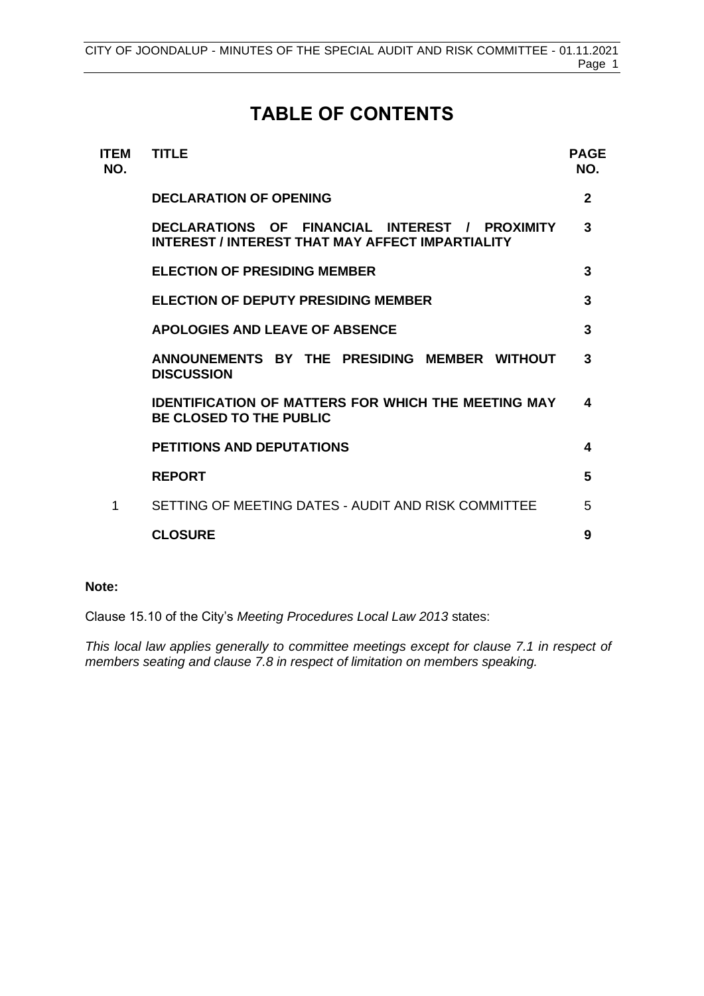# **TABLE OF CONTENTS**

| ITEM<br>NO. | <b>TITLE</b>                                                                                       | <b>PAGE</b><br>NO. |
|-------------|----------------------------------------------------------------------------------------------------|--------------------|
|             | <b>DECLARATION OF OPENING</b>                                                                      | $\mathbf{2}$       |
|             | DECLARATIONS OF FINANCIAL INTEREST / PROXIMITY<br>INTEREST / INTEREST THAT MAY AFFECT IMPARTIALITY | 3                  |
|             | <b>ELECTION OF PRESIDING MEMBER</b>                                                                | 3                  |
|             | <b>ELECTION OF DEPUTY PRESIDING MEMBER</b>                                                         | 3                  |
|             | APOLOGIES AND LEAVE OF ABSENCE                                                                     | 3                  |
|             | ANNOUNEMENTS BY THE PRESIDING MEMBER WITHOUT<br><b>DISCUSSION</b>                                  | 3                  |
|             | <b>IDENTIFICATION OF MATTERS FOR WHICH THE MEETING MAY</b><br><b>BE CLOSED TO THE PUBLIC</b>       | 4                  |
|             | <b>PETITIONS AND DEPUTATIONS</b>                                                                   | 4                  |
|             | <b>REPORT</b>                                                                                      | 5                  |
| 1           | SETTING OF MEETING DATES - AUDIT AND RISK COMMITTEE                                                | 5                  |
|             | <b>CLOSURE</b>                                                                                     | 9                  |

### **Note:**

Clause 15.10 of the City's *Meeting Procedures Local Law 2013* states:

*This local law applies generally to committee meetings except for clause 7.1 in respect of members seating and clause 7.8 in respect of limitation on members speaking.*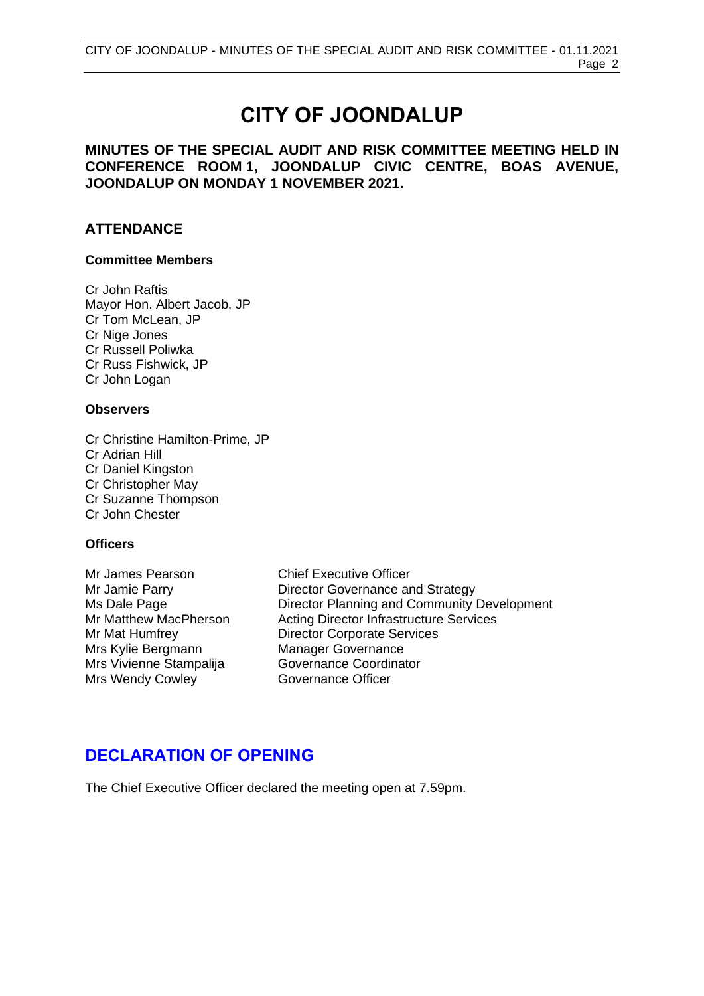# **CITY OF JOONDALUP**

# **MINUTES OF THE SPECIAL AUDIT AND RISK COMMITTEE MEETING HELD IN CONFERENCE ROOM 1, JOONDALUP CIVIC CENTRE, BOAS AVENUE, JOONDALUP ON MONDAY 1 NOVEMBER 2021.**

# **ATTENDANCE**

### **Committee Members**

Cr John Raftis Mayor Hon. Albert Jacob, JP Cr Tom McLean, JP Cr Nige Jones Cr Russell Poliwka Cr Russ Fishwick, JP Cr John Logan

### **Observers**

Cr Christine Hamilton-Prime, JP Cr Adrian Hill Cr Daniel Kingston Cr Christopher May Cr Suzanne Thompson Cr John Chester

# **Officers**

Mrs Kylie Bergmann Manager Governance Mrs Vivienne Stampalija Governance Coordinator Mrs Wendy Cowley **Governance Officer** 

Mr James Pearson Chief Executive Officer Mr Jamie Parry **Director Governance and Strategy** Ms Dale Page<br>
Mr Matthew MacPherson **Director Planning and Community Development**<br>
Mr Matthew MacPherson Acting Director Infrastructure Services Acting Director Infrastructure Services Mr Mat Humfrey Director Corporate Services

# <span id="page-2-0"></span>**DECLARATION OF OPENING**

The Chief Executive Officer declared the meeting open at 7.59pm.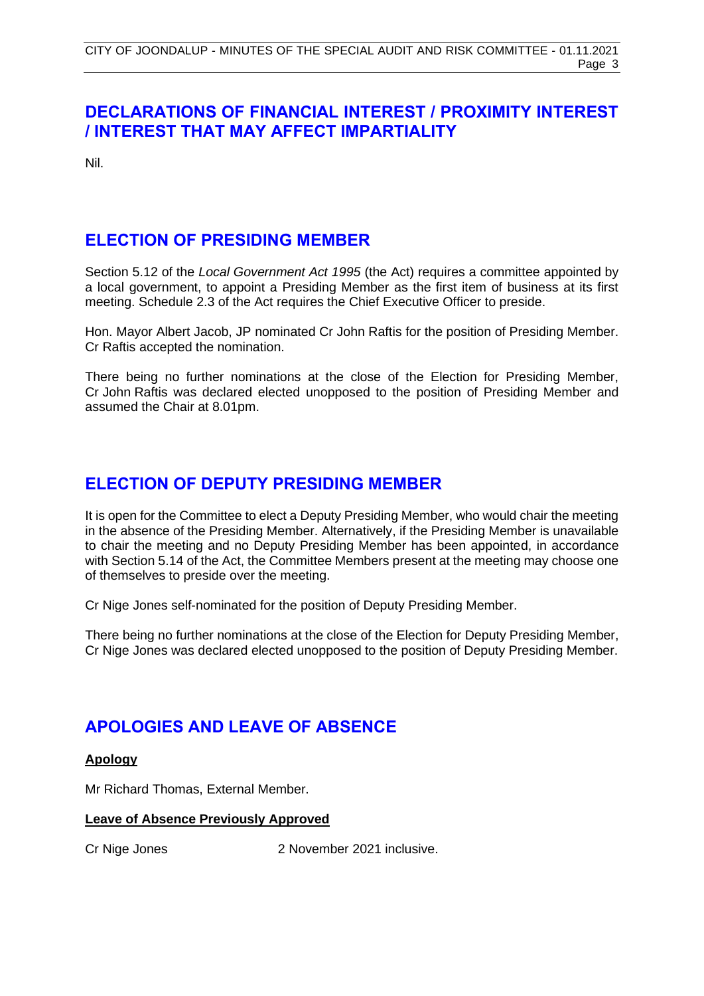# <span id="page-3-0"></span>**DECLARATIONS OF FINANCIAL INTEREST / PROXIMITY INTEREST / INTEREST THAT MAY AFFECT IMPARTIALITY**

Nil.

# <span id="page-3-1"></span>**ELECTION OF PRESIDING MEMBER**

Section 5.12 of the *Local Government Act 1995* (the Act) requires a committee appointed by a local government, to appoint a Presiding Member as the first item of business at its first meeting. Schedule 2.3 of the Act requires the Chief Executive Officer to preside.

Hon. Mayor Albert Jacob, JP nominated Cr John Raftis for the position of Presiding Member. Cr Raftis accepted the nomination.

There being no further nominations at the close of the Election for Presiding Member, Cr John Raftis was declared elected unopposed to the position of Presiding Member and assumed the Chair at 8.01pm.

# <span id="page-3-2"></span>**ELECTION OF DEPUTY PRESIDING MEMBER**

It is open for the Committee to elect a Deputy Presiding Member, who would chair the meeting in the absence of the Presiding Member. Alternatively, if the Presiding Member is unavailable to chair the meeting and no Deputy Presiding Member has been appointed, in accordance with Section 5.14 of the Act, the Committee Members present at the meeting may choose one of themselves to preside over the meeting.

Cr Nige Jones self-nominated for the position of Deputy Presiding Member.

There being no further nominations at the close of the Election for Deputy Presiding Member, Cr Nige Jones was declared elected unopposed to the position of Deputy Presiding Member.

# <span id="page-3-3"></span>**APOLOGIES AND LEAVE OF ABSENCE**

# **Apology**

Mr Richard Thomas, External Member.

### **Leave of Absence Previously Approved**

<span id="page-3-4"></span>

Cr Nige Jones 2 November 2021 inclusive.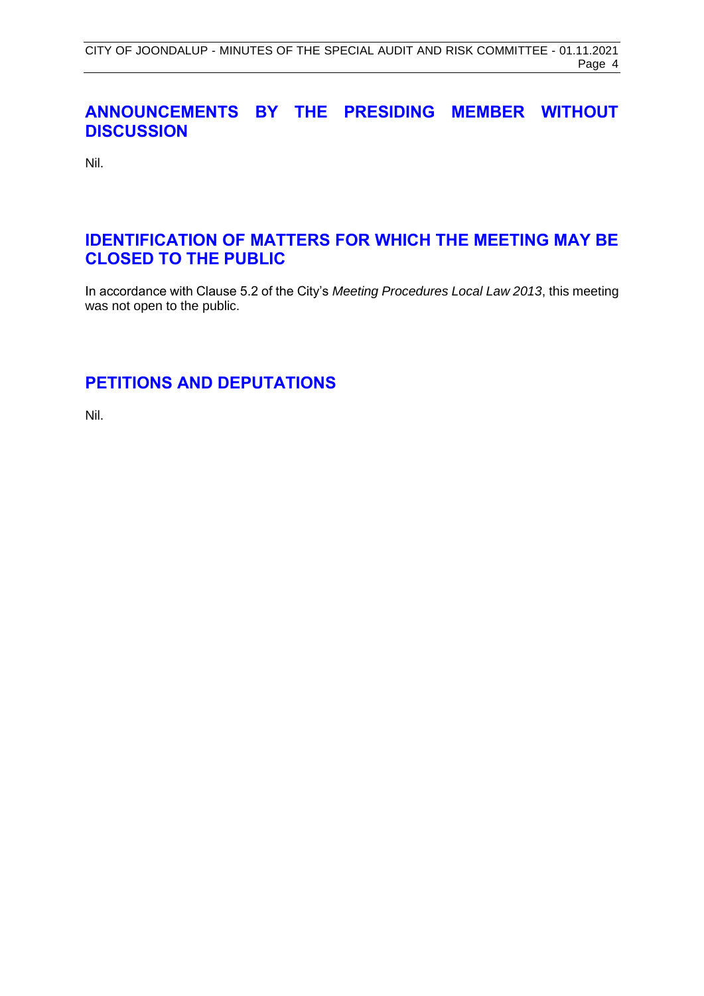# **ANNOUNCEMENTS BY THE PRESIDING MEMBER WITHOUT DISCUSSION**

Nil.

# <span id="page-4-0"></span>**IDENTIFICATION OF MATTERS FOR WHICH THE MEETING MAY BE CLOSED TO THE PUBLIC**

In accordance with Clause 5.2 of the City's *Meeting Procedures Local Law 2013*, this meeting was not open to the public.

# <span id="page-4-1"></span>**PETITIONS AND DEPUTATIONS**

Nil.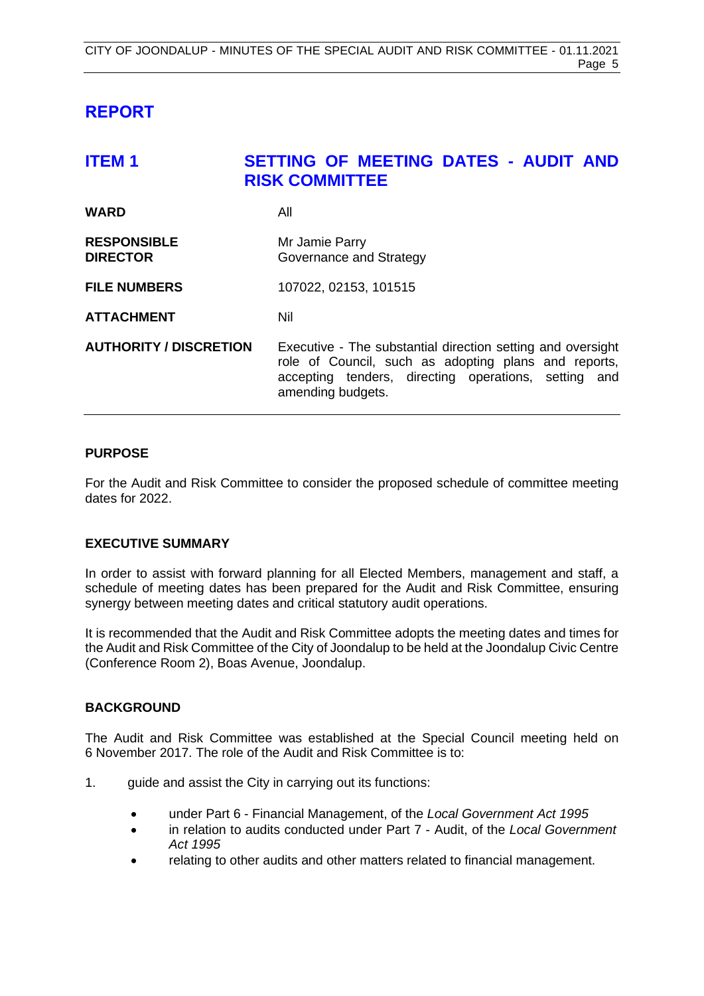# <span id="page-5-0"></span>**REPORT**

<span id="page-5-1"></span>

| <b>ITEM1</b>                          | SETTING OF MEETING DATES - AUDIT AND<br><b>RISK COMMITTEE</b>                                                                                                                                    |
|---------------------------------------|--------------------------------------------------------------------------------------------------------------------------------------------------------------------------------------------------|
| <b>WARD</b>                           | All                                                                                                                                                                                              |
| <b>RESPONSIBLE</b><br><b>DIRECTOR</b> | Mr Jamie Parry<br>Governance and Strategy                                                                                                                                                        |
| <b>FILE NUMBERS</b>                   | 107022, 02153, 101515                                                                                                                                                                            |
| <b>ATTACHMENT</b>                     | Nil                                                                                                                                                                                              |
| <b>AUTHORITY / DISCRETION</b>         | Executive - The substantial direction setting and oversight<br>role of Council, such as adopting plans and reports,<br>accepting tenders, directing operations, setting and<br>amending budgets. |

# **PURPOSE**

For the Audit and Risk Committee to consider the proposed schedule of committee meeting dates for 2022.

# **EXECUTIVE SUMMARY**

In order to assist with forward planning for all Elected Members, management and staff, a schedule of meeting dates has been prepared for the Audit and Risk Committee, ensuring synergy between meeting dates and critical statutory audit operations.

It is recommended that the Audit and Risk Committee adopts the meeting dates and times for the Audit and Risk Committee of the City of Joondalup to be held at the Joondalup Civic Centre (Conference Room 2), Boas Avenue, Joondalup.

# **BACKGROUND**

The Audit and Risk Committee was established at the Special Council meeting held on 6 November 2017. The role of the Audit and Risk Committee is to:

- 1. guide and assist the City in carrying out its functions:
	- under Part 6 Financial Management, of the *Local Government Act 1995*
	- in relation to audits conducted under Part 7 Audit, of the *Local Government Act 1995*
	- relating to other audits and other matters related to financial management.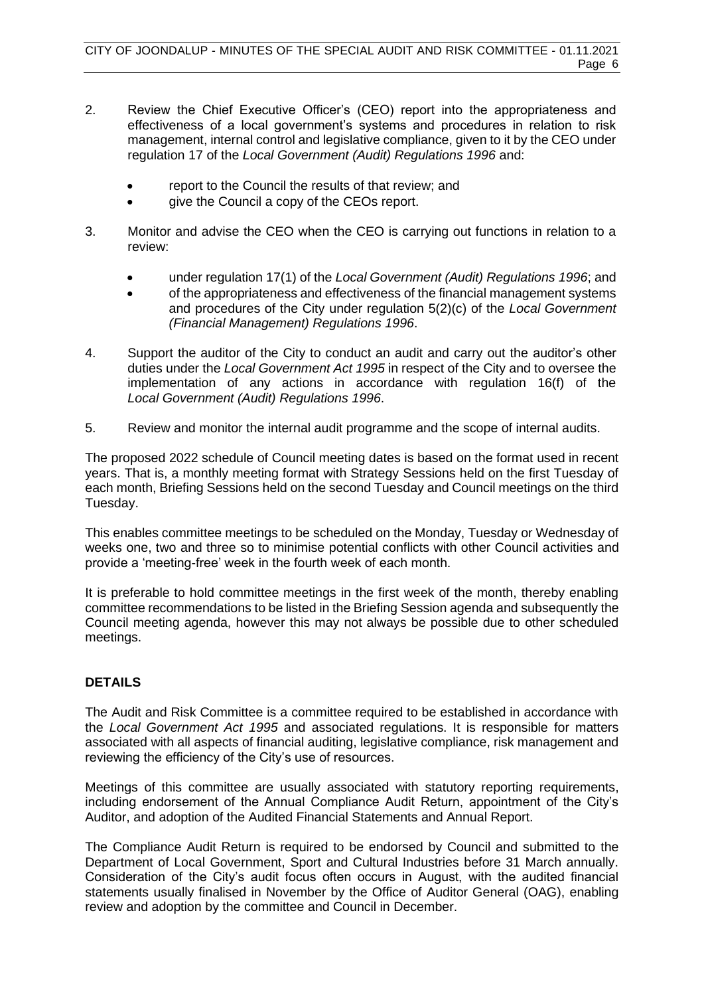- 2. Review the Chief Executive Officer's (CEO) report into the appropriateness and effectiveness of a local government's systems and procedures in relation to risk management, internal control and legislative compliance, given to it by the CEO under regulation 17 of the *Local Government (Audit) Regulations 1996* and:
	- report to the Council the results of that review; and
	- give the Council a copy of the CEOs report.
- 3. Monitor and advise the CEO when the CEO is carrying out functions in relation to a review:
	- under regulation 17(1) of the *Local Government (Audit) Regulations 1996*; and
	- of the appropriateness and effectiveness of the financial management systems and procedures of the City under regulation 5(2)(c) of the *Local Government (Financial Management) Regulations 1996*.
- 4. Support the auditor of the City to conduct an audit and carry out the auditor's other duties under the *Local Government Act 1995* in respect of the City and to oversee the implementation of any actions in accordance with regulation 16(f) of the *Local Government (Audit) Regulations 1996*.
- 5. Review and monitor the internal audit programme and the scope of internal audits.

The proposed 2022 schedule of Council meeting dates is based on the format used in recent years. That is, a monthly meeting format with Strategy Sessions held on the first Tuesday of each month, Briefing Sessions held on the second Tuesday and Council meetings on the third Tuesday.

This enables committee meetings to be scheduled on the Monday, Tuesday or Wednesday of weeks one, two and three so to minimise potential conflicts with other Council activities and provide a 'meeting-free' week in the fourth week of each month.

It is preferable to hold committee meetings in the first week of the month, thereby enabling committee recommendations to be listed in the Briefing Session agenda and subsequently the Council meeting agenda, however this may not always be possible due to other scheduled meetings.

# **DETAILS**

The Audit and Risk Committee is a committee required to be established in accordance with the *Local Government Act 1995* and associated regulations. It is responsible for matters associated with all aspects of financial auditing, legislative compliance, risk management and reviewing the efficiency of the City's use of resources.

Meetings of this committee are usually associated with statutory reporting requirements, including endorsement of the Annual Compliance Audit Return, appointment of the City's Auditor, and adoption of the Audited Financial Statements and Annual Report.

The Compliance Audit Return is required to be endorsed by Council and submitted to the Department of Local Government, Sport and Cultural Industries before 31 March annually. Consideration of the City's audit focus often occurs in August, with the audited financial statements usually finalised in November by the Office of Auditor General (OAG), enabling review and adoption by the committee and Council in December.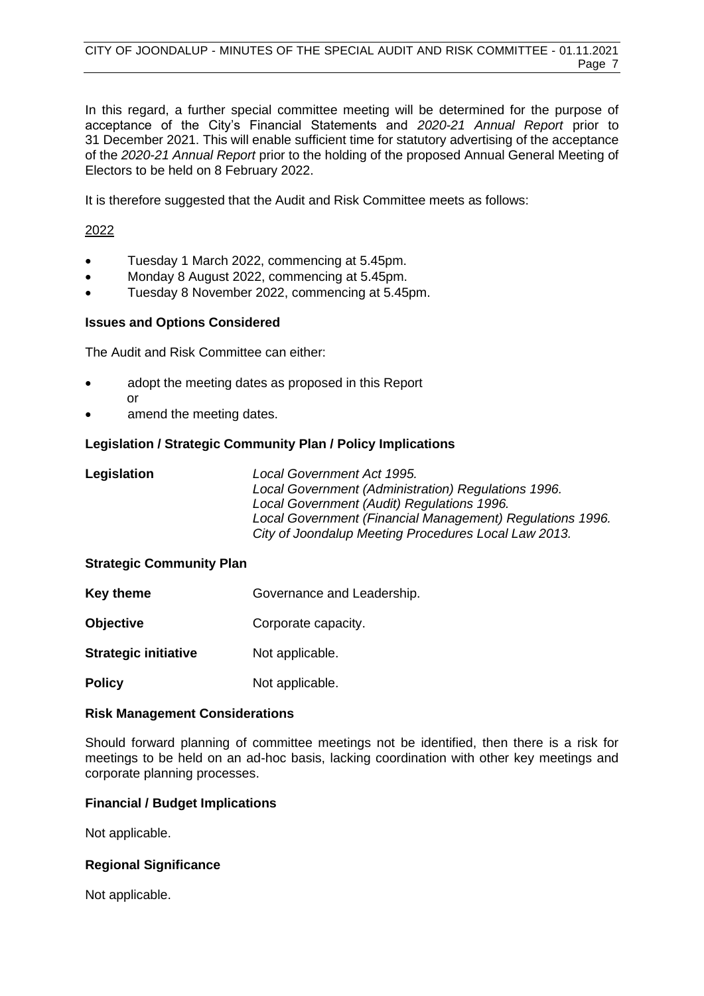In this regard, a further special committee meeting will be determined for the purpose of acceptance of the City's Financial Statements and *2020-21 Annual Report* prior to 31 December 2021. This will enable sufficient time for statutory advertising of the acceptance of the *2020-21 Annual Report* prior to the holding of the proposed Annual General Meeting of Electors to be held on 8 February 2022.

It is therefore suggested that the Audit and Risk Committee meets as follows:

# 2022

- Tuesday 1 March 2022, commencing at 5.45pm.
- Monday 8 August 2022, commencing at 5.45pm.
- Tuesday 8 November 2022, commencing at 5.45pm.

# **Issues and Options Considered**

The Audit and Risk Committee can either:

- adopt the meeting dates as proposed in this Report or
- amend the meeting dates.

# **Legislation / Strategic Community Plan / Policy Implications**

| Legislation | Local Government Act 1995.                                |
|-------------|-----------------------------------------------------------|
|             | Local Government (Administration) Regulations 1996.       |
|             | Local Government (Audit) Regulations 1996.                |
|             | Local Government (Financial Management) Regulations 1996. |
|             | City of Joondalup Meeting Procedures Local Law 2013.      |

# **Strategic Community Plan**

- **Key theme** Governance and Leadership.
- **Objective Corporate capacity.**
- **Strategic initiative** Not applicable.
- **Policy** Not applicable.

# **Risk Management Considerations**

Should forward planning of committee meetings not be identified, then there is a risk for meetings to be held on an ad-hoc basis, lacking coordination with other key meetings and corporate planning processes.

# **Financial / Budget Implications**

Not applicable.

# **Regional Significance**

Not applicable.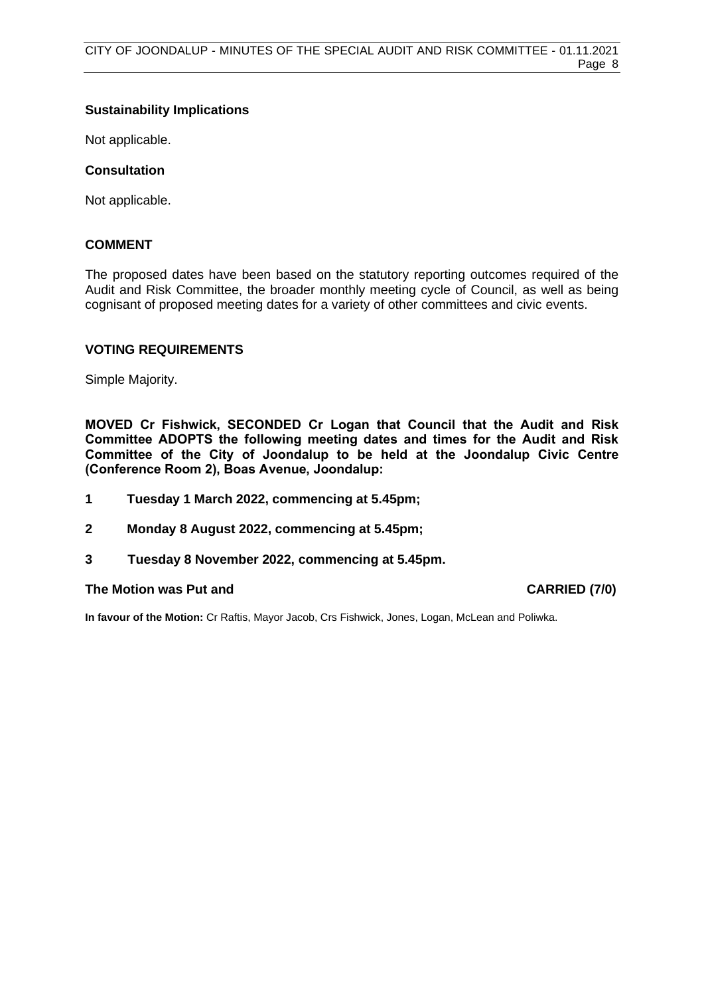# **Sustainability Implications**

Not applicable.

# **Consultation**

Not applicable.

# **COMMENT**

The proposed dates have been based on the statutory reporting outcomes required of the Audit and Risk Committee, the broader monthly meeting cycle of Council, as well as being cognisant of proposed meeting dates for a variety of other committees and civic events.

### **VOTING REQUIREMENTS**

Simple Majority.

**MOVED Cr Fishwick, SECONDED Cr Logan that Council that the Audit and Risk Committee ADOPTS the following meeting dates and times for the Audit and Risk Committee of the City of Joondalup to be held at the Joondalup Civic Centre (Conference Room 2), Boas Avenue, Joondalup:**

- **1 Tuesday 1 March 2022, commencing at 5.45pm;**
- **2 Monday 8 August 2022, commencing at 5.45pm;**
- **3 Tuesday 8 November 2022, commencing at 5.45pm.**

### **The Motion was Put and CARRIED (7/0)**

**In favour of the Motion:** Cr Raftis, Mayor Jacob, Crs Fishwick, Jones, Logan, McLean and Poliwka.